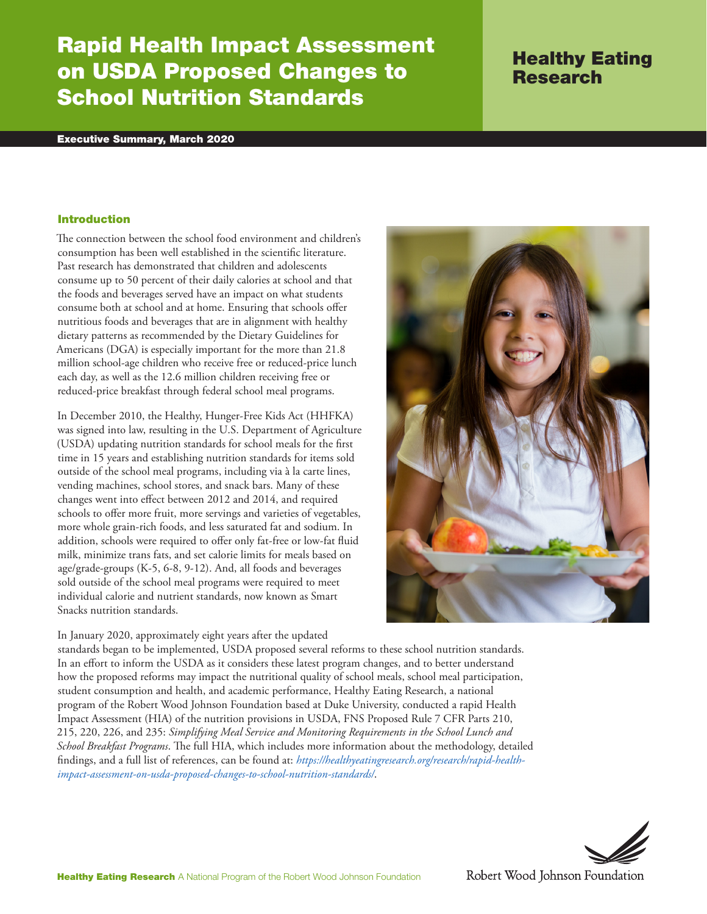# Rapid Health Impact Assessment on USDA Proposed Changes to School Nutrition Standards

# Healthy Eating Research

Executive Summary, March 2020

#### Introduction

The connection between the school food environment and children's consumption has been well established in the scientific literature. Past research has demonstrated that children and adolescents consume up to 50 percent of their daily calories at school and that the foods and beverages served have an impact on what students consume both at school and at home. Ensuring that schools offer nutritious foods and beverages that are in alignment with healthy dietary patterns as recommended by the Dietary Guidelines for Americans (DGA) is especially important for the more than 21.8 million school-age children who receive free or reduced-price lunch each day, as well as the 12.6 million children receiving free or reduced-price breakfast through federal school meal programs.

In December 2010, the Healthy, Hunger-Free Kids Act (HHFKA) was signed into law, resulting in the U.S. Department of Agriculture (USDA) updating nutrition standards for school meals for the first time in 15 years and establishing nutrition standards for items sold outside of the school meal programs, including via à la carte lines, vending machines, school stores, and snack bars. Many of these changes went into effect between 2012 and 2014, and required schools to offer more fruit, more servings and varieties of vegetables, more whole grain-rich foods, and less saturated fat and sodium. In addition, schools were required to offer only fat-free or low-fat fluid milk, minimize trans fats, and set calorie limits for meals based on age/grade-groups (K-5, 6-8, 9-12). And, all foods and beverages sold outside of the school meal programs were required to meet individual calorie and nutrient standards, now known as Smart Snacks nutrition standards.

In January 2020, approximately eight years after the updated



standards began to be implemented, USDA proposed several reforms to these school nutrition standards. In an effort to inform the USDA as it considers these latest program changes, and to better understand how the proposed reforms may impact the nutritional quality of school meals, school meal participation, student consumption and health, and academic performance, Healthy Eating Research, a national program of the Robert Wood Johnson Foundation based at Duke University, conducted a rapid Health Impact Assessment (HIA) of the nutrition provisions in USDA, FNS Proposed Rule 7 CFR Parts 210, 215, 220, 226, and 235: *Simplifying Meal Service and Monitoring Requirements in the School Lunch and School Breakfast Programs*. The full HIA, which includes more information about the methodology, detailed findings, and a full list of references, can be found at: *[https://healthyeatingresearch.org/research/rapid-health](https://healthyeatingresearch.org/research/rapid-health-impact-assessment-on-usda-proposed-changes-to-school-nutrition-standards/)[impact-assessment-on-usda-proposed-changes-to-school-nutrition-standards/](https://healthyeatingresearch.org/research/rapid-health-impact-assessment-on-usda-proposed-changes-to-school-nutrition-standards/)*.



Robert Wood Johnson Foundation